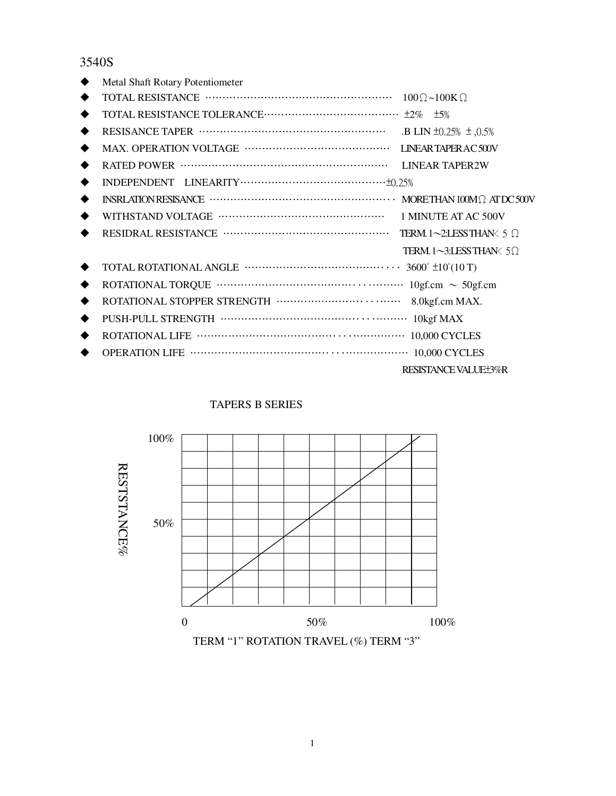### 3540S

|   | Metal Shaft Rotary Potentiometer |                                          |
|---|----------------------------------|------------------------------------------|
|   |                                  |                                          |
| ◆ |                                  |                                          |
| ◆ |                                  | .B LIN $\pm 0.25\% \pm 0.5\%$            |
| ◆ |                                  |                                          |
| ◆ |                                  | <b>LINEAR TAPER2W</b>                    |
| ◆ |                                  |                                          |
| ◆ |                                  |                                          |
| ◆ |                                  | 1 MINUTE AT AC 500V                      |
|   |                                  | TERM. 1~2:LESSTHAN $\lt$ 5 $\Omega$      |
|   |                                  | TERM $1 \sim 3$ :LESS THAN $\lt 5\Omega$ |
|   |                                  |                                          |
| ◆ |                                  |                                          |
| ◆ |                                  | 8.0kgf.cm MAX.                           |
| ◆ |                                  |                                          |
| ٠ |                                  |                                          |
|   |                                  |                                          |
|   |                                  | RESISTANCE VALUE±3%R                     |

#### TAPERS B SERIES



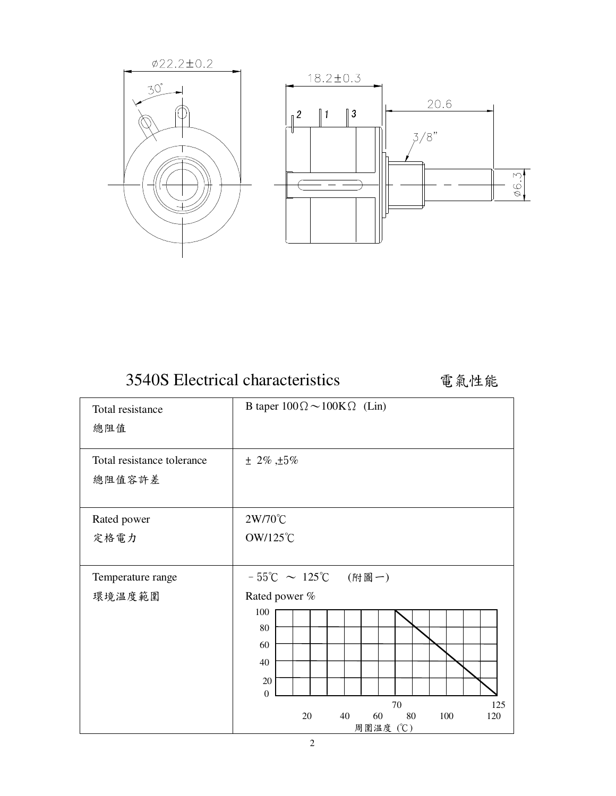

| 3540S Electrical characteristics |  |
|----------------------------------|--|
|                                  |  |

電氣性能

| Total resistance                     | B taper $100\Omega \sim 100K\Omega$ (Lin)      |  |  |
|--------------------------------------|------------------------------------------------|--|--|
| 總阻值                                  |                                                |  |  |
| Total resistance tolerance<br>總阻值容許差 | $± 2\% , ±5\%$                                 |  |  |
| Rated power                          | 2W/70℃                                         |  |  |
| 定格電力                                 | OW/125℃                                        |  |  |
|                                      |                                                |  |  |
| Temperature range                    | - 55℃ ~ 125℃ (附圖一)                             |  |  |
| 環境温度範圍                               | Rated power %                                  |  |  |
|                                      | 100                                            |  |  |
|                                      | 80                                             |  |  |
|                                      | 60                                             |  |  |
|                                      | 40                                             |  |  |
|                                      | $20\,$<br>$\mathbf{0}$                         |  |  |
|                                      | 70<br>125                                      |  |  |
|                                      | 40<br>20<br>60<br>80<br>100<br>120<br>周圍温度 (℃) |  |  |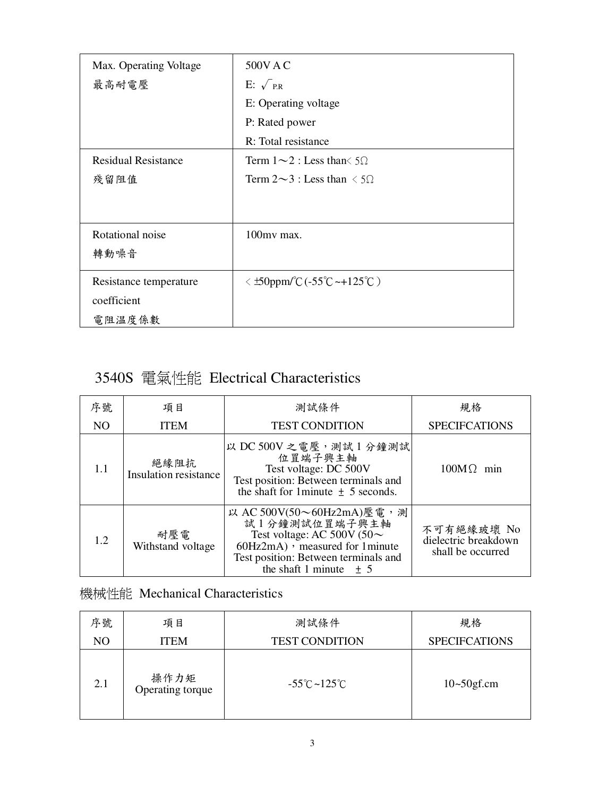| Max. Operating Voltage     | 500V A C                                   |
|----------------------------|--------------------------------------------|
| 最高耐電壓                      | E: $\sqrt{PR}$                             |
|                            | E: Operating voltage                       |
|                            | P: Rated power                             |
|                            | R: Total resistance                        |
| <b>Residual Resistance</b> | Term $1 \sim 2$ : Less than $\leq 5\Omega$ |
| 殘留阻值                       | Term $2 \sim 3$ : Less than $\lt 5\Omega$  |
|                            |                                            |
|                            |                                            |
| Rotational noise           | 100mv max.                                 |
| 轉動噪音                       |                                            |
|                            |                                            |
| Resistance temperature     | $\leq$ ±50ppm/°C (-55°C ~+125°C)           |
| coefficient                |                                            |
| 電阻温度係數                     |                                            |

## 3540S 電氣性能 Electrical Characteristics

| 序號  | 項目                            | 測試條件                                                                                                                                                                                      | 規格                                                      |
|-----|-------------------------------|-------------------------------------------------------------------------------------------------------------------------------------------------------------------------------------------|---------------------------------------------------------|
| NO. | <b>ITEM</b>                   | <b>TEST CONDITION</b>                                                                                                                                                                     | <b>SPECIFCATIONS</b>                                    |
| 1.1 | 絕緣阻抗<br>Insulation resistance | 以 DC 500V 之電壓,測試1分鐘測試<br>位置端子興主軸<br>Test voltage: DC 500V<br>Test position: Between terminals and<br>the shaft for 1 minute $\pm$ 5 seconds.                                              | $100M\Omega$<br>min                                     |
| 1.2 | 耐壓電<br>Withstand voltage      | 以 AC 500V(50~60Hz2mA)壓電,測<br>試1分鐘測試位置端子興主軸<br>Test voltage: AC 500V (50 $\sim$<br>$60Hz2mA$ , measured for 1 minute<br>Test position: Between terminals and<br>the shaft 1 minute $\pm$ 5 | 不可有絕緣玻壞 No<br>dielectric breakdown<br>shall be occurred |

### 機械性能 Mechanical Characteristics

| 序號             | 項目                       | 測試條件                              | 規格                   |
|----------------|--------------------------|-----------------------------------|----------------------|
| N <sub>O</sub> | <b>ITEM</b>              | <b>TEST CONDITION</b>             | <b>SPECIFCATIONS</b> |
| 2.1            | 操作力矩<br>Operating torque | $-55^{\circ}$ C ~ $125^{\circ}$ C | $10 - 50$ gf.cm      |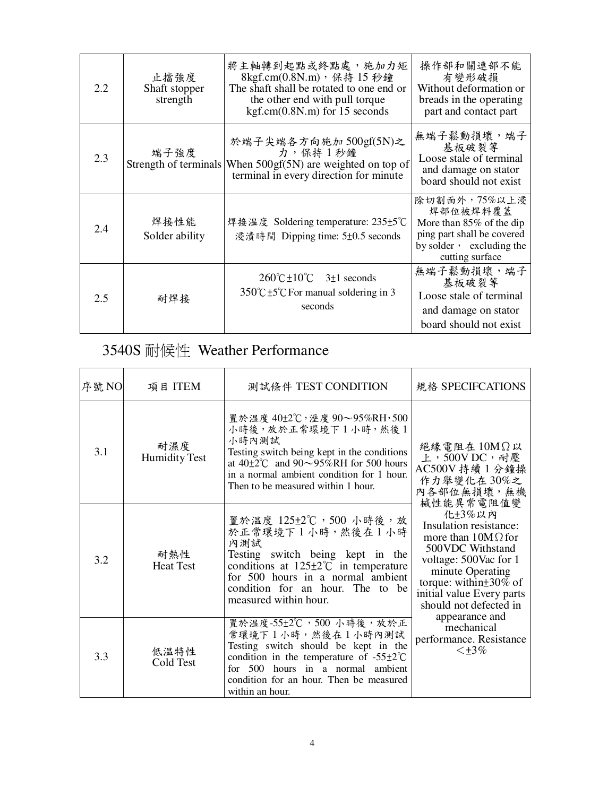| 2.2 | 止擋強度<br>Shaft stopper<br>strength | 將主軸轉到起點或終點處,施加力矩<br>8kgf.cm(0.8N.m), 保持 15 秒鐘<br>The shaft shall be rotated to one end or<br>the other end with pull torque<br>$kgf.cm(0.8N.m)$ for 15 seconds | 操作部和關連部不能<br>有變形破損<br>Without deformation or<br>breads in the operating<br>part and contact part                                      |
|-----|-----------------------------------|----------------------------------------------------------------------------------------------------------------------------------------------------------------|---------------------------------------------------------------------------------------------------------------------------------------|
| 2.3 | 端子強度<br>Strength of terminals     | 於端子尖端各方向施加 500gf(5N)之<br>力,保持1秒鐘<br>When $500gf(5N)$ are weighted on top of<br>terminal in every direction for minute                                          | 無端子鬆動損壞,端子<br>基板破裂等<br>Loose stale of terminal<br>and damage on stator<br>board should not exist                                      |
| 2.4 | 焊接性能<br>Solder ability            | 焊接温度 Soldering temperature: 235±5℃<br>浸漬時間 Dipping time: 5±0.5 seconds                                                                                         | 除切割面外,75%以上浸<br>焊部位被焊料覆蓋<br>More than $85\%$ of the dip<br>ping part shall be covered<br>by solder , excluding the<br>cutting surface |
| 2.5 | 耐焊接                               | $260^{\circ}$ C ± 10 <sup>°</sup> C $3\pm1$ seconds<br>$350^{\circ}$ C ±5 <sup>°</sup> C For manual soldering in 3<br>seconds                                  | 無端子鬆動損壞,端子<br>基板破裂等<br>Loose stale of terminal<br>and damage on stator<br>board should not exist                                      |

# 3540S 耐候性 Weather Performance

| 序號 NO | 項目 ITEM                     | 測試條件 TEST CONDITION                                                                                                                                                                                                                                     | 規格 SPECIFCATIONS                                                                                                                                                                                                                                                                                               |
|-------|-----------------------------|---------------------------------------------------------------------------------------------------------------------------------------------------------------------------------------------------------------------------------------------------------|----------------------------------------------------------------------------------------------------------------------------------------------------------------------------------------------------------------------------------------------------------------------------------------------------------------|
| 3.1   | 耐濕度<br><b>Humidity Test</b> | 置於温度 40±2℃, 溼度 90~95%RH, 500<br>小時後,放於正常環境下1小時,然後1<br>小時內測試<br>Testing switch being kept in the conditions<br>at $40\pm2\degree$ C and $90\sim95\%$ RH for 500 hours<br>in a normal ambient condition for 1 hour.<br>Then to be measured within 1 hour. | 絶緣電阻在 10MΩ以<br>上,500VDC,耐壓<br>AC500V 持續 1 分鐘操<br>作力舉變化在30%之<br>內各部位無損壞,無機<br>械性能異常電阻值變<br>化±3%以内<br>Insulation resistance:<br>more than $10M\Omega$ for<br>500VDC Withstand<br>voltage: 500Vac for 1<br>minute Operating<br>torque: within $\pm$ 30% of<br>initial value Every parts<br>should not defected in |
| 3.2   | 耐熱性<br><b>Heat Test</b>     | 置於温度 125±2℃,500 小時後,放<br>於正常環境下1小時,然後在1小時<br>內測試<br>Testing switch being kept in the<br>conditions at $125 \pm 2^{\circ}$ in temperature<br>for 500 hours in a normal ambient<br>condition for an hour. The to be<br>measured within hour.              |                                                                                                                                                                                                                                                                                                                |
| 3.3   | 低温特性<br>Cold Test           | 置於温度-55±2℃,500小時後,放於正<br>常環境下1小時,然後在1小時內測試<br>Testing switch should be kept in the<br>condition in the temperature of $-55\pm2^{\circ}\text{C}$<br>for $500$<br>hours in a normal ambient<br>condition for an hour. Then be measured<br>within an hour. | appearance and<br>mechanical<br>performance. Resistance<br>$\leq$ +3%                                                                                                                                                                                                                                          |